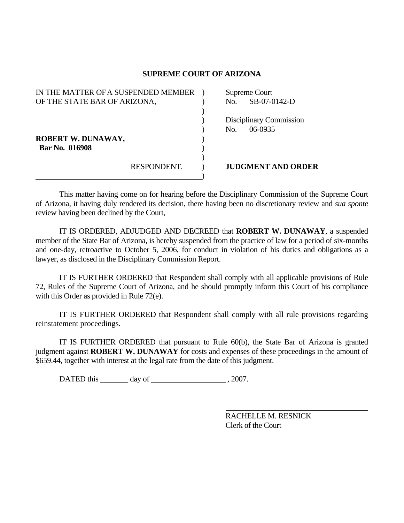## **SUPREME COURT OF ARIZONA**

| IN THE MATTER OF A SUSPENDED MEMBER |             | Supreme Court |                                |
|-------------------------------------|-------------|---------------|--------------------------------|
| OF THE STATE BAR OF ARIZONA,        |             | No.           | SB-07-0142-D                   |
|                                     |             |               |                                |
|                                     |             |               | <b>Disciplinary Commission</b> |
|                                     |             | No.           | $06-0935$                      |
| <b>ROBERT W. DUNAWAY,</b>           |             |               |                                |
| Bar No. 016908                      |             |               |                                |
|                                     |             |               |                                |
|                                     | RESPONDENT. |               | <b>JUDGMENT AND ORDER</b>      |
|                                     |             |               |                                |

 This matter having come on for hearing before the Disciplinary Commission of the Supreme Court of Arizona, it having duly rendered its decision, there having been no discretionary review and *sua sponte* review having been declined by the Court,

 IT IS ORDERED, ADJUDGED AND DECREED that **ROBERT W. DUNAWAY**, a suspended member of the State Bar of Arizona, is hereby suspended from the practice of law for a period of six-months and one-day, retroactive to October 5, 2006, for conduct in violation of his duties and obligations as a lawyer, as disclosed in the Disciplinary Commission Report.

 IT IS FURTHER ORDERED that Respondent shall comply with all applicable provisions of Rule 72, Rules of the Supreme Court of Arizona, and he should promptly inform this Court of his compliance with this Order as provided in Rule 72(e).

 IT IS FURTHER ORDERED that Respondent shall comply with all rule provisions regarding reinstatement proceedings.

 IT IS FURTHER ORDERED that pursuant to Rule 60(b), the State Bar of Arizona is granted judgment against **ROBERT W. DUNAWAY** for costs and expenses of these proceedings in the amount of \$659.44, together with interest at the legal rate from the date of this judgment.

DATED this day of , 2007.

 RACHELLE M. RESNICK Clerk of the Court